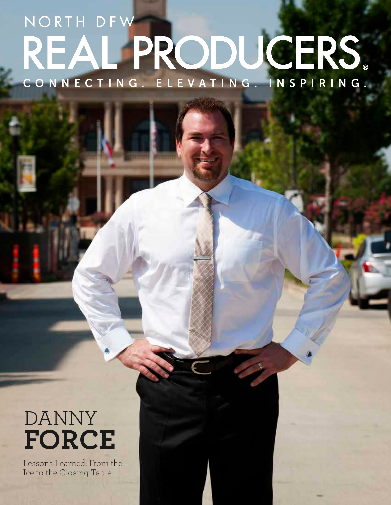# C O N N E C T I N G . E L E V A T I N G . I N S P I R I N G NORTH DFW **REAL PRODUCERS**

## DANNY **FORCE**

Lessons Learned: From the Ice to the Closing Table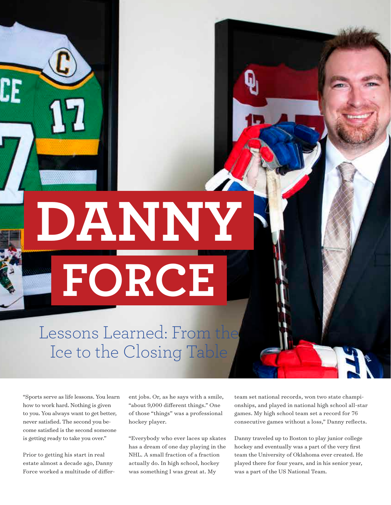**DANNY FORCE**

Lessons Learned: From th Ice to the Closing Table

"Sports serve as life lessons. You learn how to work hard. Nothing is given to you. You always want to get better, never satisfied. The second you become satisfied is the second someone is getting ready to take you over."

Prior to getting his start in real estate almost a decade ago, Danny Force worked a multitude of different jobs. Or, as he says with a smile, "about 9,000 different things." One of those "things" was a professional hockey player.

"Everybody who ever laces up skates has a dream of one day playing in the NHL. A small fraction of a fraction actually do. In high school, hockey was something I was great at. My

team set national records, won two state championships, and played in national high school all-star games. My high school team set a record for 76 consecutive games without a loss," Danny reflects.

Danny traveled up to Boston to play junior college hockey and eventually was a part of the very first team the University of Oklahoma ever created. He played there for four years, and in his senior year, was a part of the US National Team.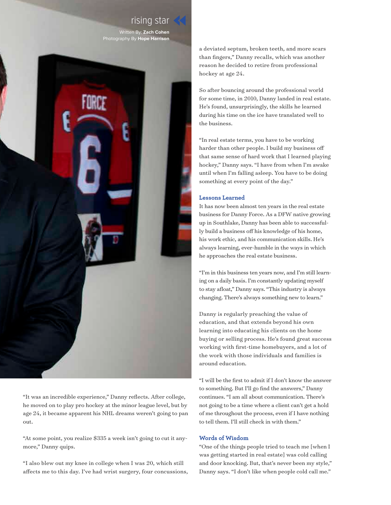#### rising star

Written By: **Zach Cohen** Photography By **Hope Harrison**



"It was an incredible experience," Danny reflects. After college, he moved on to play pro hockey at the minor league level, but by age 24, it became apparent his NHL dreams weren't going to pan out.

"At some point, you realize \$335 a week isn't going to cut it anymore," Danny quips.

"I also blew out my knee in college when I was 20, which still affects me to this day. I've had wrist surgery, four concussions, a deviated septum, broken teeth, and more scars than fingers," Danny recalls, which was another reason he decided to retire from professional hockey at age 24.

So after bouncing around the professional world for some time, in 2010, Danny landed in real estate. He's found, unsurprisingly, the skills he learned during his time on the ice have translated well to the business.

"In real estate terms, you have to be working harder than other people. I build my business off that same sense of hard work that I learned playing hockey," Danny says. "I have from when I'm awake until when I'm falling asleep. You have to be doing something at every point of the day."

#### **Lessons Learned**

It has now been almost ten years in the real estate business for Danny Force. As a DFW native growing up in Southlake, Danny has been able to successfully build a business off his knowledge of his home, his work ethic, and his communication skills. He's always learning, ever-humble in the ways in which he approaches the real estate business.

"I'm in this business ten years now, and I'm still learning on a daily basis. I'm constantly updating myself to stay afloat," Danny says. "This industry is always changing. There's always something new to learn."

Danny is regularly preaching the value of education, and that extends beyond his own learning into educating his clients on the home buying or selling process. He's found great success working with first-time homebuyers, and a lot of the work with those individuals and families is around education.

"I will be the first to admit if I don't know the answer to something. But I'll go find the answers," Danny continues. "I am all about communication. There's not going to be a time where a client can't get a hold of me throughout the process, even if I have nothing to tell them. I'll still check in with them."

#### **Words of Wisdom**

"One of the things people tried to teach me [when I was getting started in real estate] was cold calling and door knocking. But, that's never been my style," Danny says. "I don't like when people cold call me."